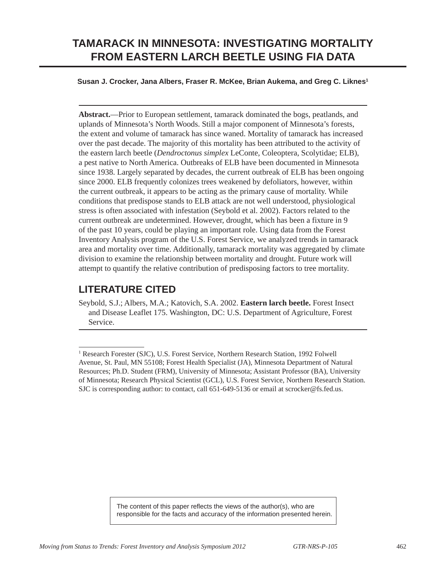# **TAMARACK IN MINNESOTA: INVESTIGATING MORTALITY FROM EASTERN LARCH BEETLE USING FIA DATA**

#### **Susan J. Crocker, Jana Albers, Fraser R. McKee, Brian Aukema, and Greg C. Liknes1**

**Abstract.**—Prior to European settlement, tamarack dominated the bogs, peatlands, and uplands of Minnesota's North Woods. Still a major component of Minnesota's forests, the extent and volume of tamarack has since waned. Mortality of tamarack has increased over the past decade. The majority of this mortality has been attributed to the activity of the eastern larch beetle (*Dendroctonus simplex* LeConte, Coleoptera, Scolytidae; ELB), a pest native to North America. Outbreaks of ELB have been documented in Minnesota since 1938. Largely separated by decades, the current outbreak of ELB has been ongoing since 2000. ELB frequently colonizes trees weakened by defoliators, however, within the current outbreak, it appears to be acting as the primary cause of mortality. While conditions that predispose stands to ELB attack are not well understood, physiological stress is often associated with infestation (Seybold et al. 2002). Factors related to the current outbreak are undetermined. However, drought, which has been a fixture in 9 of the past 10 years, could be playing an important role. Using data from the Forest Inventory Analysis program of the U.S. Forest Service, we analyzed trends in tamarack area and mortality over time. Additionally, tamarack mortality was aggregated by climate division to examine the relationship between mortality and drought. Future work will attempt to quantify the relative contribution of predisposing factors to tree mortality.

### **Literature Cited**

Seybold, S.J.; Albers, M.A.; Katovich, S.A. 2002. **Eastern larch beetle.** Forest Insect and Disease Leaflet 175. Washington, DC: U.S. Department of Agriculture, Forest Service.

<sup>&</sup>lt;sup>1</sup> Research Forester (SJC), U.S. Forest Service, Northern Research Station, 1992 Folwell Avenue, St. Paul, MN 55108; Forest Health Specialist (JA), Minnesota Department of Natural Resources; Ph.D. Student (FRM), University of Minnesota; Assistant Professor (BA), University of Minnesota; Research Physical Scientist (GCL), U.S. Forest Service, Northern Research Station. SJC is corresponding author: to contact, call 651-649-5136 or email at scrocker@fs.fed.us.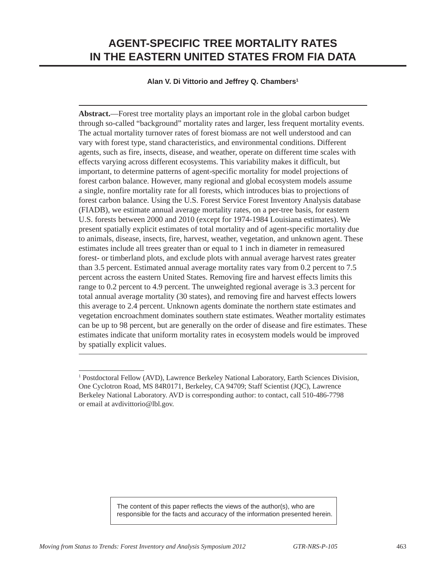# **AGENT-SPECIFIC TREE MORTALITY RATES IN THE EASTERN UNITED STATES FROM FIA DATA**

### **Alan V. Di Vittorio and Jeffrey Q. Chambers1**

**Abstract.**—Forest tree mortality plays an important role in the global carbon budget through so-called "background" mortality rates and larger, less frequent mortality events. The actual mortality turnover rates of forest biomass are not well understood and can vary with forest type, stand characteristics, and environmental conditions. Different agents, such as fire, insects, disease, and weather, operate on different time scales with effects varying across different ecosystems. This variability makes it difficult, but important, to determine patterns of agent-specific mortality for model projections of forest carbon balance. However, many regional and global ecosystem models assume a single, nonfire mortality rate for all forests, which introduces bias to projections of forest carbon balance. Using the U.S. Forest Service Forest Inventory Analysis database (FIADB), we estimate annual average mortality rates, on a per-tree basis, for eastern U.S. forests between 2000 and 2010 (except for 1974-1984 Louisiana estimates). We present spatially explicit estimates of total mortality and of agent-specific mortality due to animals, disease, insects, fire, harvest, weather, vegetation, and unknown agent. These estimates include all trees greater than or equal to 1 inch in diameter in remeasured forest- or timberland plots, and exclude plots with annual average harvest rates greater than 3.5 percent. Estimated annual average mortality rates vary from 0.2 percent to 7.5 percent across the eastern United States. Removing fire and harvest effects limits this range to 0.2 percent to 4.9 percent. The unweighted regional average is 3.3 percent for total annual average mortality (30 states), and removing fire and harvest effects lowers this average to 2.4 percent. Unknown agents dominate the northern state estimates and vegetation encroachment dominates southern state estimates. Weather mortality estimates can be up to 98 percent, but are generally on the order of disease and fire estimates. These estimates indicate that uniform mortality rates in ecosystem models would be improved by spatially explicit values.

<sup>&</sup>lt;sup>1</sup> Postdoctoral Fellow (AVD), Lawrence Berkeley National Laboratory, Earth Sciences Division, One Cyclotron Road, MS 84R0171, Berkeley, CA 94709; Staff Scientist (JQC), Lawrence Berkeley National Laboratory. AVD is corresponding author: to contact, call 510-486-7798 or email at avdivittorio@lbl.gov.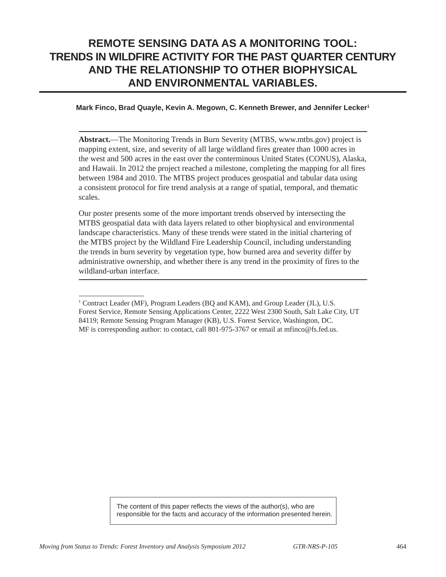## **REMOTE SENSING DATA AS A MONITORING TOOL: TRENDS IN WILDFIRE ACTIVITY FOR THE PAST QUARTER CENTURY AND THE RELATIONSHIP TO OTHER BIOPHYSICAL AND ENVIRONMENTAL VARIABLES.**

#### **Mark Finco, Brad Quayle, Kevin A. Megown, C. Kenneth Brewer, and Jennifer Lecker1**

**Abstract.**—The Monitoring Trends in Burn Severity (MTBS, www.mtbs.gov) project is mapping extent, size, and severity of all large wildland fires greater than 1000 acres in the west and 500 acres in the east over the conterminous United States (CONUS), Alaska, and Hawaii. In 2012 the project reached a milestone, completing the mapping for all fires between 1984 and 2010. The MTBS project produces geospatial and tabular data using a consistent protocol for fire trend analysis at a range of spatial, temporal, and thematic scales.

Our poster presents some of the more important trends observed by intersecting the MTBS geospatial data with data layers related to other biophysical and environmental landscape characteristics. Many of these trends were stated in the initial chartering of the MTBS project by the Wildland Fire Leadership Council, including understanding the trends in burn severity by vegetation type, how burned area and severity differ by administrative ownership, and whether there is any trend in the proximity of fires to the wildland-urban interface.

<sup>&</sup>lt;sup>1</sup> Contract Leader (MF), Program Leaders (BQ and KAM), and Group Leader (JL), U.S. Forest Service, Remote Sensing Applications Center, 2222 West 2300 South, Salt Lake City, UT 84119; Remote Sensing Program Manager (KB), U.S. Forest Service, Washington, DC. MF is corresponding author: to contact, call 801-975-3767 or email at mfinco@fs.fed.us.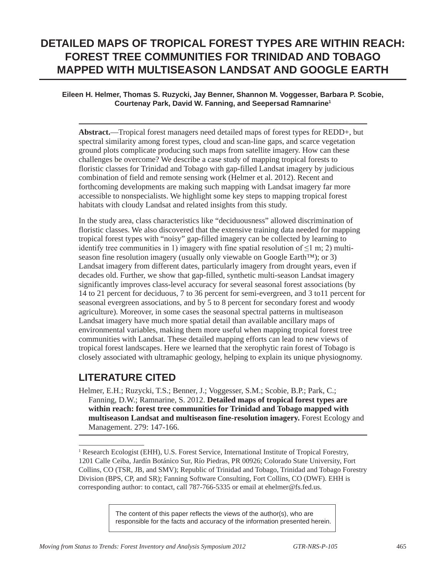# **DETAILED MAPS OF TROPICAL FOREST TYPES ARE WITHIN REACH: FOREST TREE COMMUNITIES FOR TRINIDAD AND TOBAGO MAPPED WITH MULTISEASON LANDSAT AND GOOGLE EARTH**

### **Eileen H. Helmer, Thomas S. Ruzycki, Jay Benner, Shannon M. Voggesser, Barbara P. Scobie, Courtenay Park, David W. Fanning, and Seepersad Ramnarine1**

**Abstract.**—Tropical forest managers need detailed maps of forest types for REDD+, but spectral similarity among forest types, cloud and scan-line gaps, and scarce vegetation ground plots complicate producing such maps from satellite imagery. How can these challenges be overcome? We describe a case study of mapping tropical forests to floristic classes for Trinidad and Tobago with gap-filled Landsat imagery by judicious combination of field and remote sensing work (Helmer et al. 2012). Recent and forthcoming developments are making such mapping with Landsat imagery far more accessible to nonspecialists. We highlight some key steps to mapping tropical forest habitats with cloudy Landsat and related insights from this study.

In the study area, class characteristics like "deciduousness" allowed discrimination of floristic classes. We also discovered that the extensive training data needed for mapping tropical forest types with "noisy" gap-filled imagery can be collected by learning to identify tree communities in 1) imagery with fine spatial resolution of  $\leq 1$  m; 2) multiseason fine resolution imagery (usually only viewable on Google Earth<sup>™</sup>); or 3) Landsat imagery from different dates, particularly imagery from drought years, even if decades old. Further, we show that gap-filled, synthetic multi-season Landsat imagery significantly improves class-level accuracy for several seasonal forest associations (by 14 to 21 percent for deciduous, 7 to 36 percent for semi-evergreen, and 3 to11 percent for seasonal evergreen associations, and by 5 to 8 percent for secondary forest and woody agriculture). Moreover, in some cases the seasonal spectral patterns in multiseason Landsat imagery have much more spatial detail than available ancillary maps of environmental variables, making them more useful when mapping tropical forest tree communities with Landsat. These detailed mapping efforts can lead to new views of tropical forest landscapes. Here we learned that the xerophytic rain forest of Tobago is closely associated with ultramaphic geology, helping to explain its unique physiognomy.

### **LITERATURE CITED**

Helmer, E.H.; Ruzycki, T.S.; Benner, J.; Voggesser, S.M.; Scobie, B.P.; Park, C.; Fanning, D.W.; Ramnarine, S. 2012. **Detailed maps of tropical forest types are within reach: forest tree communities for Trinidad and Tobago mapped with multiseason Landsat and multiseason fine-resolution imagery.** Forest Ecology and Management. 279: 147-166.

<sup>&</sup>lt;sup>1</sup> Research Ecologist (EHH), U.S. Forest Service, International Institute of Tropical Forestry, 1201 Calle Ceiba, Jardín Botánico Sur, Río Piedras, PR 00926; Colorado State University, Fort Collins, CO (TSR, JB, and SMV); Republic of Trinidad and Tobago, Trinidad and Tobago Forestry Division (BPS, CP, and SR); Fanning Software Consulting, Fort Collins, CO (DWF). EHH is corresponding author: to contact, call 787-766-5335 or email at ehelmer@fs.fed.us.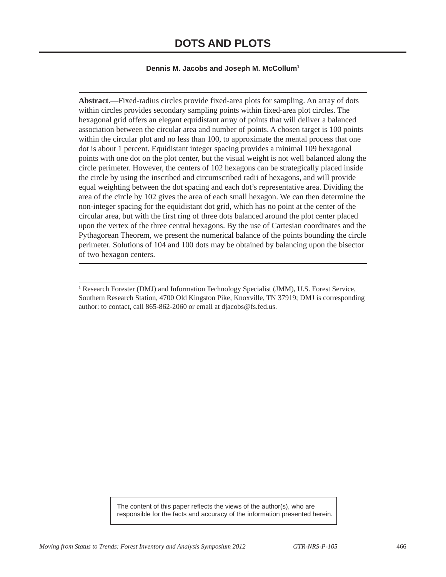#### **Dennis M. Jacobs and Joseph M. McCollum1**

**Abstract.**—Fixed-radius circles provide fixed-area plots for sampling. An array of dots within circles provides secondary sampling points within fixed-area plot circles. The hexagonal grid offers an elegant equidistant array of points that will deliver a balanced association between the circular area and number of points. A chosen target is 100 points within the circular plot and no less than 100, to approximate the mental process that one dot is about 1 percent. Equidistant integer spacing provides a minimal 109 hexagonal points with one dot on the plot center, but the visual weight is not well balanced along the circle perimeter. However, the centers of 102 hexagons can be strategically placed inside the circle by using the inscribed and circumscribed radii of hexagons, and will provide equal weighting between the dot spacing and each dot's representative area. Dividing the area of the circle by 102 gives the area of each small hexagon. We can then determine the non-integer spacing for the equidistant dot grid, which has no point at the center of the circular area, but with the first ring of three dots balanced around the plot center placed upon the vertex of the three central hexagons. By the use of Cartesian coordinates and the Pythagorean Theorem, we present the numerical balance of the points bounding the circle perimeter. Solutions of 104 and 100 dots may be obtained by balancing upon the bisector of two hexagon centers.

<sup>&</sup>lt;sup>1</sup> Research Forester (DMJ) and Information Technology Specialist (JMM), U.S. Forest Service, Southern Research Station, 4700 Old Kingston Pike, Knoxville, TN 37919; DMJ is corresponding author: to contact, call 865-862-2060 or email at djacobs@fs.fed.us.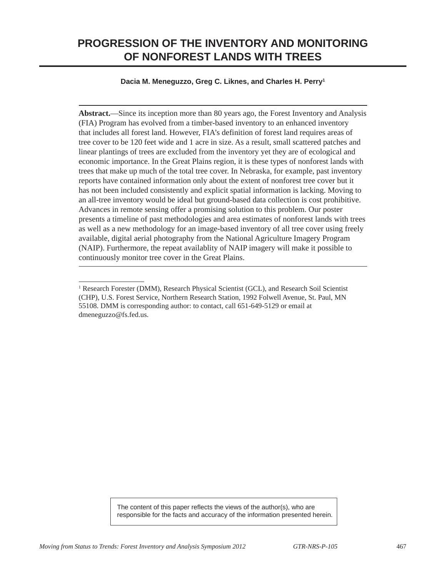### **PROGRESSION OF THE INVENTORY AND MONITORING OF NONFOREST LANDS WITH TREES**

### **Dacia M. Meneguzzo, Greg C. Liknes, and Charles H. Perry1**

**Abstract.**—Since its inception more than 80 years ago, the Forest Inventory and Analysis (FIA) Program has evolved from a timber-based inventory to an enhanced inventory that includes all forest land. However, FIA's definition of forest land requires areas of tree cover to be 120 feet wide and 1 acre in size. As a result, small scattered patches and linear plantings of trees are excluded from the inventory yet they are of ecological and economic importance. In the Great Plains region, it is these types of nonforest lands with trees that make up much of the total tree cover. In Nebraska, for example, past inventory reports have contained information only about the extent of nonforest tree cover but it has not been included consistently and explicit spatial information is lacking. Moving to an all-tree inventory would be ideal but ground-based data collection is cost prohibitive. Advances in remote sensing offer a promising solution to this problem. Our poster presents a timeline of past methodologies and area estimates of nonforest lands with trees as well as a new methodology for an image-based inventory of all tree cover using freely available, digital aerial photography from the National Agriculture Imagery Program (NAIP). Furthermore, the repeat availablity of NAIP imagery will make it possible to continuously monitor tree cover in the Great Plains.

<sup>&</sup>lt;sup>1</sup> Research Forester (DMM), Research Physical Scientist (GCL), and Research Soil Scientist (CHP), U.S. Forest Service, Northern Research Station, 1992 Folwell Avenue, St. Paul, MN 55108. DMM is corresponding author: to contact, call 651-649-5129 or email at dmeneguzzo@fs.fed.us.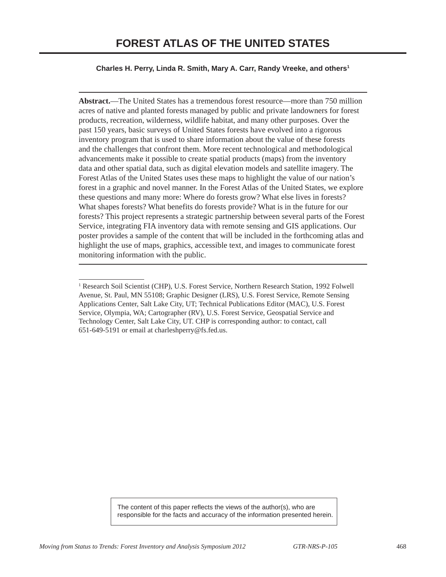### **Charles H. Perry, Linda R. Smith, Mary A. Carr, Randy Vreeke, and others1**

**Abstract.**—The United States has a tremendous forest resource—more than 750 million acres of native and planted forests managed by public and private landowners for forest products, recreation, wilderness, wildlife habitat, and many other purposes. Over the past 150 years, basic surveys of United States forests have evolved into a rigorous inventory program that is used to share information about the value of these forests and the challenges that confront them. More recent technological and methodological advancements make it possible to create spatial products (maps) from the inventory data and other spatial data, such as digital elevation models and satellite imagery. The Forest Atlas of the United States uses these maps to highlight the value of our nation's forest in a graphic and novel manner. In the Forest Atlas of the United States, we explore these questions and many more: Where do forests grow? What else lives in forests? What shapes forests? What benefits do forests provide? What is in the future for our forests? This project represents a strategic partnership between several parts of the Forest Service, integrating FIA inventory data with remote sensing and GIS applications. Our poster provides a sample of the content that will be included in the forthcoming atlas and highlight the use of maps, graphics, accessible text, and images to communicate forest monitoring information with the public.

<sup>&</sup>lt;sup>1</sup> Research Soil Scientist (CHP), U.S. Forest Service, Northern Research Station, 1992 Folwell Avenue, St. Paul, MN 55108; Graphic Designer (LRS), U.S. Forest Service, Remote Sensing Applications Center, Salt Lake City, UT; Technical Publications Editor (MAC), U.S. Forest Service, Olympia, WA; Cartographer (RV), U.S. Forest Service, Geospatial Service and Technology Center, Salt Lake City, UT. CHP is corresponding author: to contact, call 651-649-5191 or email at charleshperry@fs.fed.us.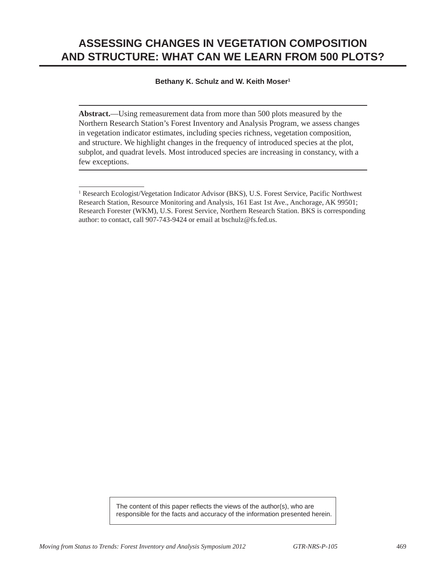# **ASSESSING CHANGES IN VEGETATION COMPOSITION AND STRUCTURE: WHAT CAN WE LEARN FROM 500 PLOTS?**

#### **Bethany K. Schulz and W. Keith Moser1**

**Abstract.**—Using remeasurement data from more than 500 plots measured by the Northern Research Station's Forest Inventory and Analysis Program, we assess changes in vegetation indicator estimates, including species richness, vegetation composition, and structure. We highlight changes in the frequency of introduced species at the plot, subplot, and quadrat levels. Most introduced species are increasing in constancy, with a few exceptions.

<sup>&</sup>lt;sup>1</sup> Research Ecologist/Vegetation Indicator Advisor (BKS), U.S. Forest Service, Pacific Northwest Research Station, Resource Monitoring and Analysis, 161 East 1st Ave., Anchorage, AK 99501; Research Forester (WKM), U.S. Forest Service, Northern Research Station. BKS is corresponding author: to contact, call 907-743-9424 or email at bschulz@fs.fed.us.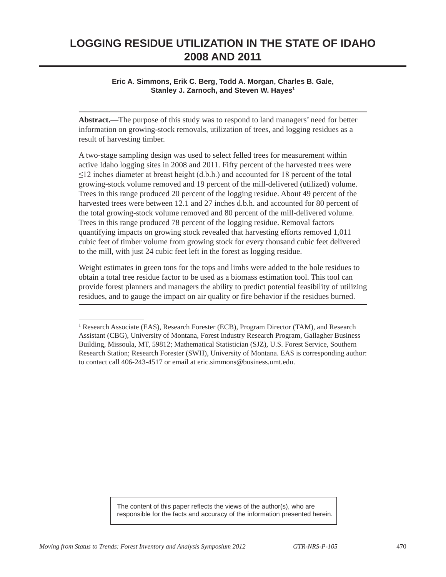## **LOGGING RESIDUE UTILIZATION IN THE STATE OF IDAHO 2008 AND 2011**

**Eric A. Simmons, Erik C. Berg, Todd A. Morgan, Charles B. Gale, Stanley J. Zarnoch, and Steven W. Hayes1**

**Abstract.**—The purpose of this study was to respond to land managers' need for better information on growing-stock removals, utilization of trees, and logging residues as a result of harvesting timber.

A two-stage sampling design was used to select felled trees for measurement within active Idaho logging sites in 2008 and 2011. Fifty percent of the harvested trees were ≤12 inches diameter at breast height (d.b.h.) and accounted for 18 percent of the total growing-stock volume removed and 19 percent of the mill-delivered (utilized) volume. Trees in this range produced 20 percent of the logging residue. About 49 percent of the harvested trees were between 12.1 and 27 inches d.b.h. and accounted for 80 percent of the total growing-stock volume removed and 80 percent of the mill-delivered volume. Trees in this range produced 78 percent of the logging residue. Removal factors quantifying impacts on growing stock revealed that harvesting efforts removed 1,011 cubic feet of timber volume from growing stock for every thousand cubic feet delivered to the mill, with just 24 cubic feet left in the forest as logging residue.

Weight estimates in green tons for the tops and limbs were added to the bole residues to obtain a total tree residue factor to be used as a biomass estimation tool. This tool can provide forest planners and managers the ability to predict potential feasibility of utilizing residues, and to gauge the impact on air quality or fire behavior if the residues burned.

<sup>&</sup>lt;sup>1</sup> Research Associate (EAS), Research Forester (ECB), Program Director (TAM), and Research Assistant (CBG), University of Montana, Forest Industry Research Program, Gallagher Business Building, Missoula, MT, 59812; Mathematical Statistician (SJZ), U.S. Forest Service, Southern Research Station; Research Forester (SWH), University of Montana. EAS is corresponding author: to contact call 406-243-4517 or email at eric.simmons@business.umt.edu.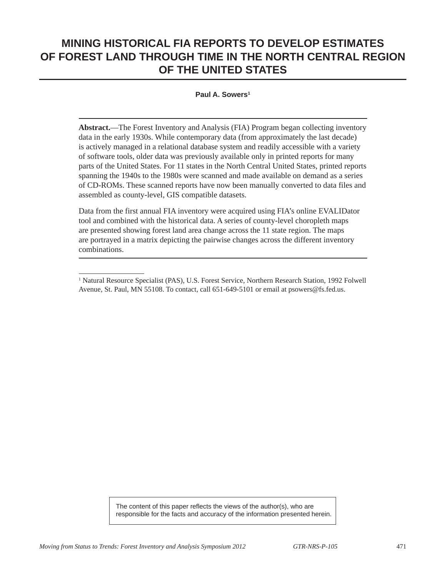## **MINING HISTORICAL FIA REPORTS TO DEVELOP ESTIMATES OF FOREST LAND THROUGH TIME IN THE NORTH CENTRAL REGION OF THE UNITED STATES**

#### **Paul A. Sowers1**

**Abstract.**—The Forest Inventory and Analysis (FIA) Program began collecting inventory data in the early 1930s. While contemporary data (from approximately the last decade) is actively managed in a relational database system and readily accessible with a variety of software tools, older data was previously available only in printed reports for many parts of the United States. For 11 states in the North Central United States, printed reports spanning the 1940s to the 1980s were scanned and made available on demand as a series of CD-ROMs. These scanned reports have now been manually converted to data files and assembled as county-level, GIS compatible datasets.

Data from the first annual FIA inventory were acquired using FIA's online EVALIDator tool and combined with the historical data. A series of county-level choropleth maps are presented showing forest land area change across the 11 state region. The maps are portrayed in a matrix depicting the pairwise changes across the different inventory combinations.

<sup>&</sup>lt;sup>1</sup> Natural Resource Specialist (PAS), U.S. Forest Service, Northern Research Station, 1992 Folwell Avenue, St. Paul, MN 55108. To contact, call 651-649-5101 or email at psowers@fs.fed.us.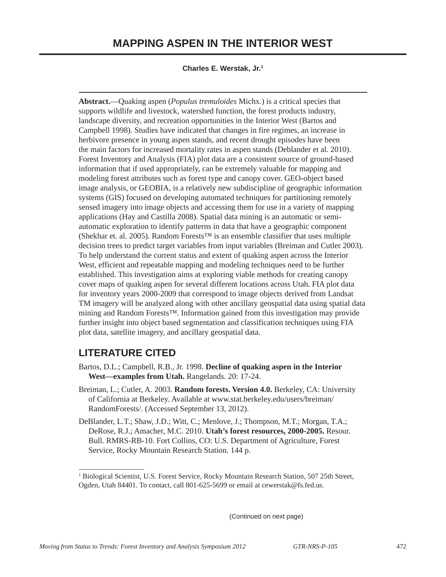### **MAPPING ASPEN IN THE INTERIOR WEST**

**Charles E. Werstak, Jr.1**

**Abstract.**—Quaking aspen (*Populus tremuloides* Michx.) is a critical species that supports wildlife and livestock, watershed function, the forest products industry, landscape diversity, and recreation opportunities in the Interior West (Bartos and Campbell 1998). Studies have indicated that changes in fire regimes, an increase in herbivore presence in young aspen stands, and recent drought episodes have been the main factors for increased mortality rates in aspen stands (Deblander et al. 2010). Forest Inventory and Analysis (FIA) plot data are a consistent source of ground-based information that if used appropriately, can be extremely valuable for mapping and modeling forest attributes such as forest type and canopy cover. GEO-object based image analysis, or GEOBIA, is a relatively new subdiscipline of geographic information systems (GIS) focused on developing automated techniques for partitioning remotely sensed imagery into image objects and accessing them for use in a variety of mapping applications (Hay and Castilla 2008). Spatial data mining is an automatic or semiautomatic exploration to identify patterns in data that have a geographic component (Shekhar et. al. 2005). Random Forests™ is an ensemble classifier that uses multiple decision trees to predict target variables from input variables (Breiman and Cutler 2003). To help understand the current status and extent of quaking aspen across the Interior West, efficient and repeatable mapping and modeling techniques need to be further established. This investigation aims at exploring viable methods for creating canopy cover maps of quaking aspen for several different locations across Utah. FIA plot data for inventory years 2000-2009 that correspond to image objects derived from Landsat TM imagery will be analyzed along with other ancillary geospatial data using spatial data mining and Random Forests™. Information gained from this investigation may provide further insight into object based segmentation and classification techniques using FIA plot data, satellite imagery, and ancillary geospatial data.

### **LITERATURE CITED**

- Bartos, D.L.; Campbell, R.B., Jr. 1998. **Decline of quaking aspen in the Interior West—examples from Utah.** Rangelands. 20: 17-24.
- Breiman, L.; Cutler, A. 2003. **Random forests. Version 4.0.** Berkeley, CA: University of California at Berkeley. Available at www.stat.berkeley.edu/users/breiman/ RandomForests/. (Accessed September 13, 2012).
- DeBlander, L.T.; Shaw, J.D.; Witt, C.; Menlove, J.; Thompson, M.T.; Morgan, T.A.; DeRose, R.J.; Amacher, M.C. 2010. **Utah's forest resources, 2000-2005.** Resour. Bull. RMRS-RB-10. Fort Collins, CO: U.S. Department of Agriculture, Forest Service, Rocky Mountain Research Station. 144 p.

(Continued on next page)

<sup>&</sup>lt;sup>1</sup> Biological Scientist, U.S. Forest Service, Rocky Mountain Research Station, 507 25th Street, Ogden, Utah 84401. To contact, call 801-625-5699 or email at cewerstak@fs.fed.us.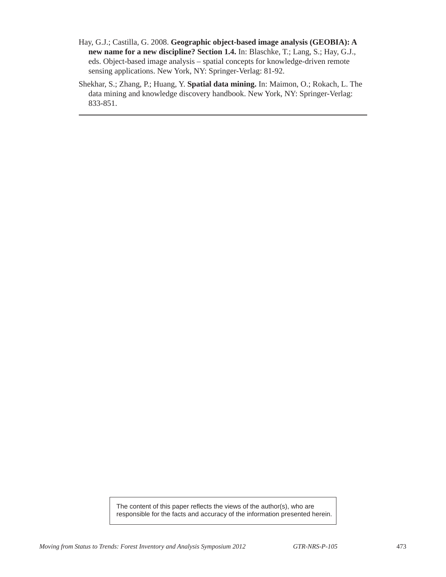- Hay, G.J.; Castilla, G. 2008. **Geographic object-based image analysis (GEOBIA): A new name for a new discipline? Section 1.4.** In: Blaschke, T.; Lang, S.; Hay, G.J., eds. Object-based image analysis – spatial concepts for knowledge-driven remote sensing applications. New York, NY: Springer-Verlag: 81-92.
- Shekhar, S.; Zhang, P.; Huang, Y. **Spatial data mining.** In: Maimon, O.; Rokach, L. The data mining and knowledge discovery handbook. New York, NY: Springer-Verlag: 833-851.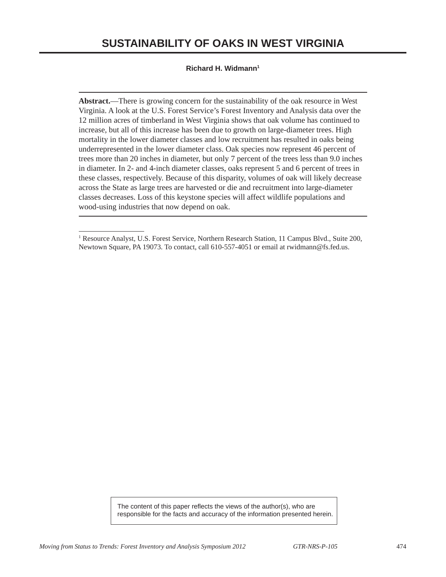### **SUSTAINABILITy OF OAKS IN WEST VIRGINIA**

#### **Richard H. Widmann1**

**Abstract.**—There is growing concern for the sustainability of the oak resource in West Virginia. A look at the U.S. Forest Service's Forest Inventory and Analysis data over the 12 million acres of timberland in West Virginia shows that oak volume has continued to increase, but all of this increase has been due to growth on large-diameter trees. High mortality in the lower diameter classes and low recruitment has resulted in oaks being underrepresented in the lower diameter class. Oak species now represent 46 percent of trees more than 20 inches in diameter, but only 7 percent of the trees less than 9.0 inches in diameter. In 2- and 4-inch diameter classes, oaks represent 5 and 6 percent of trees in these classes, respectively. Because of this disparity, volumes of oak will likely decrease across the State as large trees are harvested or die and recruitment into large-diameter classes decreases. Loss of this keystone species will affect wildlife populations and wood-using industries that now depend on oak.

<sup>&</sup>lt;sup>1</sup> Resource Analyst, U.S. Forest Service, Northern Research Station, 11 Campus Blvd., Suite 200, Newtown Square, PA 19073. To contact, call 610-557-4051 or email at rwidmann@fs.fed.us.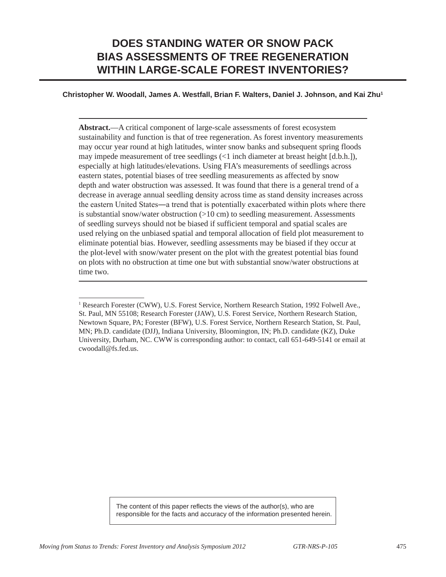## **DOES STANDING WATER OR SNOW PACK BIAS ASSESSMENTS OF TREE REGENERATION WITHIN LARGE-SCALE FOREST INVENTORIES?**

#### **Christopher W. Woodall, James A. Westfall, Brian F. Walters, Daniel J. Johnson, and Kai Zhu1**

**Abstract.**—A critical component of large-scale assessments of forest ecosystem sustainability and function is that of tree regeneration. As forest inventory measurements may occur year round at high latitudes, winter snow banks and subsequent spring floods may impede measurement of tree seedlings (<1 inch diameter at breast height [d.b.h.]), especially at high latitudes/elevations. Using FIA's measurements of seedlings across eastern states, potential biases of tree seedling measurements as affected by snow depth and water obstruction was assessed. It was found that there is a general trend of a decrease in average annual seedling density across time as stand density increases across the eastern United States―a trend that is potentially exacerbated within plots where there is substantial snow/water obstruction  $(>10 \text{ cm})$  to seedling measurement. Assessments of seedling surveys should not be biased if sufficient temporal and spatial scales are used relying on the unbiased spatial and temporal allocation of field plot measurement to eliminate potential bias. However, seedling assessments may be biased if they occur at the plot-level with snow/water present on the plot with the greatest potential bias found on plots with no obstruction at time one but with substantial snow/water obstructions at time two.

<sup>&</sup>lt;sup>1</sup> Research Forester (CWW), U.S. Forest Service, Northern Research Station, 1992 Folwell Ave., St. Paul, MN 55108; Research Forester (JAW), U.S. Forest Service, Northern Research Station, Newtown Square, PA; Forester (BFW), U.S. Forest Service, Northern Research Station, St. Paul, MN; Ph.D. candidate (DJJ), Indiana University, Bloomington, IN; Ph.D. candidate (KZ), Duke University, Durham, NC. CWW is corresponding author: to contact, call 651-649-5141 or email at cwoodall@fs.fed.us.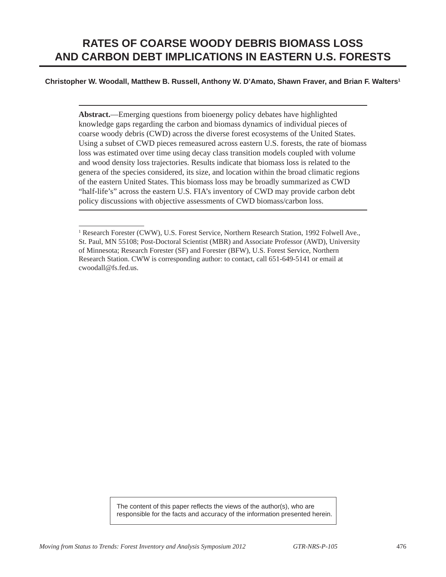### **Christopher W. Woodall, Matthew B. Russell, Anthony W. D'Amato, Shawn Fraver, and Brian F. Walters1**

**Abstract.**—Emerging questions from bioenergy policy debates have highlighted knowledge gaps regarding the carbon and biomass dynamics of individual pieces of coarse woody debris (CWD) across the diverse forest ecosystems of the United States. Using a subset of CWD pieces remeasured across eastern U.S. forests, the rate of biomass loss was estimated over time using decay class transition models coupled with volume and wood density loss trajectories. Results indicate that biomass loss is related to the genera of the species considered, its size, and location within the broad climatic regions of the eastern United States. This biomass loss may be broadly summarized as CWD "half-life's" across the eastern U.S. FIA's inventory of CWD may provide carbon debt policy discussions with objective assessments of CWD biomass/carbon loss.

<sup>&</sup>lt;sup>1</sup> Research Forester (CWW), U.S. Forest Service, Northern Research Station, 1992 Folwell Ave., St. Paul, MN 55108; Post-Doctoral Scientist (MBR) and Associate Professor (AWD), University of Minnesota; Research Forester (SF) and Forester (BFW), U.S. Forest Service, Northern Research Station. CWW is corresponding author: to contact, call 651-649-5141 or email at cwoodall@fs.fed.us.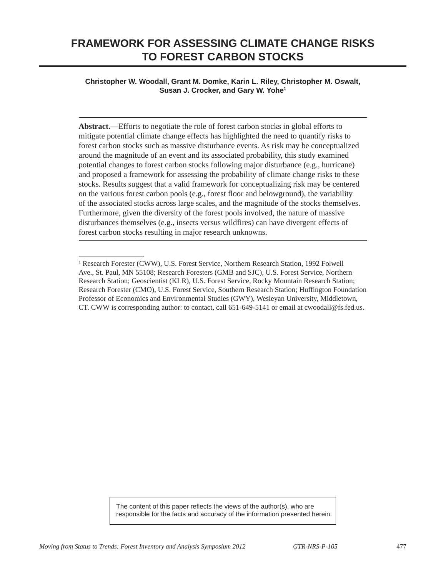### **FRAMEWORK FOR ASSESSING CLIMATE CHANGE RISKS TO FOREST CARBON STOCKS**

### **Christopher W. Woodall, Grant M. Domke, Karin L. Riley, Christopher M. Oswalt, Susan J. Crocker, and Gary W. Yohe1**

**Abstract.**—Efforts to negotiate the role of forest carbon stocks in global efforts to mitigate potential climate change effects has highlighted the need to quantify risks to forest carbon stocks such as massive disturbance events. As risk may be conceptualized around the magnitude of an event and its associated probability, this study examined potential changes to forest carbon stocks following major disturbance (e.g., hurricane) and proposed a framework for assessing the probability of climate change risks to these stocks. Results suggest that a valid framework for conceptualizing risk may be centered on the various forest carbon pools (e.g., forest floor and belowground), the variability of the associated stocks across large scales, and the magnitude of the stocks themselves. Furthermore, given the diversity of the forest pools involved, the nature of massive disturbances themselves (e.g., insects versus wildfires) can have divergent effects of forest carbon stocks resulting in major research unknowns.

<sup>&</sup>lt;sup>1</sup> Research Forester (CWW), U.S. Forest Service, Northern Research Station, 1992 Folwell Ave., St. Paul, MN 55108; Research Foresters (GMB and SJC), U.S. Forest Service, Northern Research Station; Geoscientist (KLR), U.S. Forest Service, Rocky Mountain Research Station; Research Forester (CMO), U.S. Forest Service, Southern Research Station; Huffington Foundation Professor of Economics and Environmental Studies (GWY), Wesleyan University, Middletown, CT. CWW is corresponding author: to contact, call 651-649-5141 or email at cwoodall@fs.fed.us.